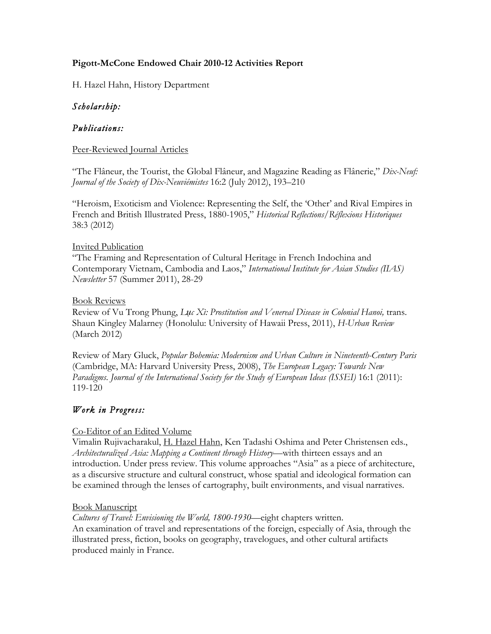### **Pigott-McCone Endowed Chair 2010-12 Activities Report**

H. Hazel Hahn, History Department

## *Scholarship:*

### *Publications:*

#### Peer-Reviewed Journal Articles

"The Flâneur, the Tourist, the Global Flâneur, and Magazine Reading as Flânerie," *Dix-Neuf: Journal of the Society of Dix-Neuviémistes* 16:2 (July 2012), 193–210

"Heroism, Exoticism and Violence: Representing the Self, the 'Other' and Rival Empires in French and British Illustrated Press, 1880-1905," *Historical Reflections/Réflexions Historiques* 38:3 (2012)

#### Invited Publication

"The Framing and Representation of Cultural Heritage in French Indochina and Contemporary Vietnam, Cambodia and Laos," *International Institute for Asian Studies (IIAS) Newsletter* 57 (Summer 2011), 28-29

#### Book Reviews

Review of Vu Trong Phung, *Luc Xì: Prostitution and Venereal Disease in Colonial Hanoi*, trans. Shaun Kingley Malarney (Honolulu: University of Hawaii Press, 2011), *H-Urban Review* (March 2012)

Review of Mary Gluck, *Popular Bohemia: Modernism and Urban Culture in Nineteenth-Century Paris* (Cambridge, MA: Harvard University Press, 2008), *The European Legacy: Towards New Paradigms*. *Journal of the International Society for the Study of European Ideas (ISSEI)* 16:1 (2011): 119-120

## *Work in Progress:*

### Co-Editor of an Edited Volume

Vimalin Rujivacharakul, H. Hazel Hahn, Ken Tadashi Oshima and Peter Christensen eds., *Architecturalized Asia: Mapping a Continent through History—*with thirteen essays and an introduction. Under press review. This volume approaches "Asia" as a piece of architecture, as a discursive structure and cultural construct, whose spatial and ideological formation can be examined through the lenses of cartography, built environments, and visual narratives.

### Book Manuscript

*Cultures of Travel: Envisioning the World, 1800-1930—*eight chapters written. An examination of travel and representations of the foreign, especially of Asia, through the illustrated press, fiction, books on geography, travelogues, and other cultural artifacts produced mainly in France.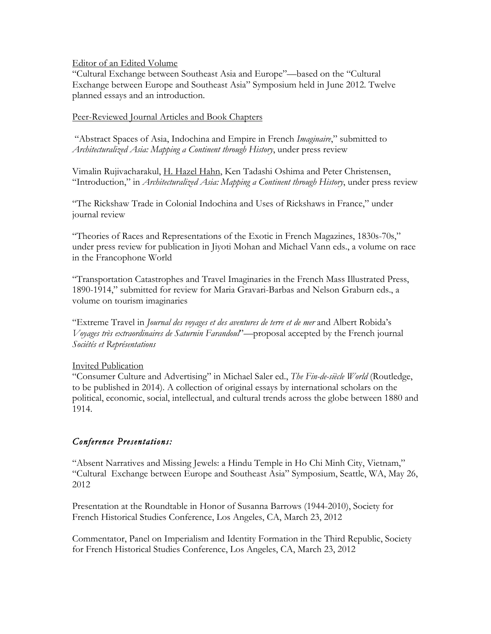#### Editor of an Edited Volume

"Cultural Exchange between Southeast Asia and Europe"—based on the "Cultural Exchange between Europe and Southeast Asia" Symposium held in June 2012. Twelve planned essays and an introduction.

#### Peer-Reviewed Journal Articles and Book Chapters

"Abstract Spaces of Asia, Indochina and Empire in French *Imaginaire*," submitted to *Architecturalized Asia: Mapping a Continent through History*, under press review

Vimalin Rujivacharakul, H. Hazel Hahn, Ken Tadashi Oshima and Peter Christensen, "Introduction," in *Architecturalized Asia: Mapping a Continent through History*, under press review

"The Rickshaw Trade in Colonial Indochina and Uses of Rickshaws in France," under journal review

"Theories of Races and Representations of the Exotic in French Magazines, 1830s-70s," under press review for publication in Jiyoti Mohan and Michael Vann eds., a volume on race in the Francophone World

"Transportation Catastrophes and Travel Imaginaries in the French Mass Illustrated Press, 1890-1914," submitted for review for Maria Gravari-Barbas and Nelson Graburn eds., a volume on tourism imaginaries

"Extreme Travel in *Journal des voyages et des aventures de terre et de mer* and Albert Robida's *Voyages très extraordinaires de Saturnin Farandoul*"—proposal accepted by the French journal *Sociétés et Représentations*

#### Invited Publication

"Consumer Culture and Advertising" in Michael Saler ed., *The Fin-de-siècle World* (Routledge, to be published in 2014). A collection of original essays by international scholars on the political, economic, social, intellectual, and cultural trends across the globe between 1880 and 1914.

### *Conference Presentations:*

"Absent Narratives and Missing Jewels: a Hindu Temple in Ho Chi Minh City, Vietnam," "Cultural Exchange between Europe and Southeast Asia" Symposium, Seattle, WA, May 26, 2012

Presentation at the Roundtable in Honor of Susanna Barrows (1944-2010), Society for French Historical Studies Conference, Los Angeles, CA, March 23, 2012

Commentator, Panel on Imperialism and Identity Formation in the Third Republic, Society for French Historical Studies Conference, Los Angeles, CA, March 23, 2012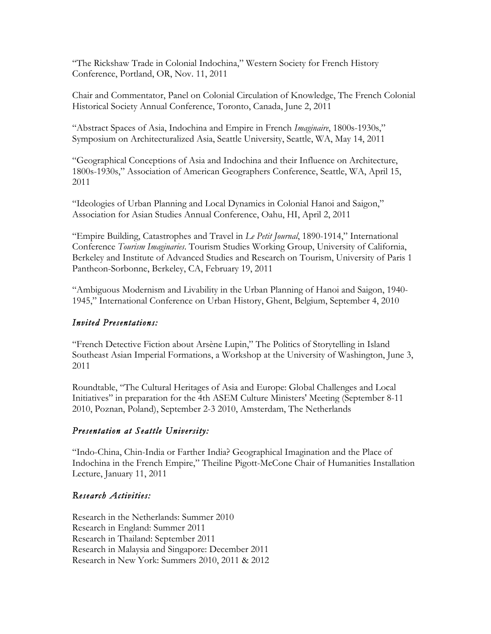"The Rickshaw Trade in Colonial Indochina," Western Society for French History Conference, Portland, OR, Nov. 11, 2011

Chair and Commentator, Panel on Colonial Circulation of Knowledge, The French Colonial Historical Society Annual Conference, Toronto, Canada, June 2, 2011

"Abstract Spaces of Asia, Indochina and Empire in French *Imaginaire*, 1800s-1930s," Symposium on Architecturalized Asia, Seattle University, Seattle, WA, May 14, 2011

"Geographical Conceptions of Asia and Indochina and their Influence on Architecture, 1800s-1930s," Association of American Geographers Conference, Seattle, WA, April 15, 2011

"Ideologies of Urban Planning and Local Dynamics in Colonial Hanoi and Saigon," Association for Asian Studies Annual Conference, Oahu, HI, April 2, 2011

"Empire Building, Catastrophes and Travel in *Le Petit Journal*, 1890-1914," International Conference *Tourism Imaginaries*. Tourism Studies Working Group, University of California, Berkeley and Institute of Advanced Studies and Research on Tourism, University of Paris 1 Pantheon-Sorbonne, Berkeley, CA, February 19, 2011

"Ambiguous Modernism and Livability in the Urban Planning of Hanoi and Saigon, 1940- 1945," International Conference on Urban History, Ghent, Belgium, September 4, 2010

## *Invited Presentations:*

"French Detective Fiction about Arsène Lupin," The Politics of Storytelling in Island Southeast Asian Imperial Formations, a Workshop at the University of Washington, June 3, 2011

Roundtable, "The Cultural Heritages of Asia and Europe: Global Challenges and Local Initiatives" in preparation for the 4th ASEM Culture Ministers' Meeting (September 8-11 2010, Poznan, Poland), September 2-3 2010, Amsterdam, The Netherlands

# *Presentation at Seattle University:*

"Indo-China, Chin-India or Farther India? Geographical Imagination and the Place of Indochina in the French Empire," Theiline Pigott-McCone Chair of Humanities Installation Lecture, January 11, 2011

# *Research Activities:*

Research in the Netherlands: Summer 2010 Research in England: Summer 2011 Research in Thailand: September 2011 Research in Malaysia and Singapore: December 2011 Research in New York: Summers 2010, 2011 & 2012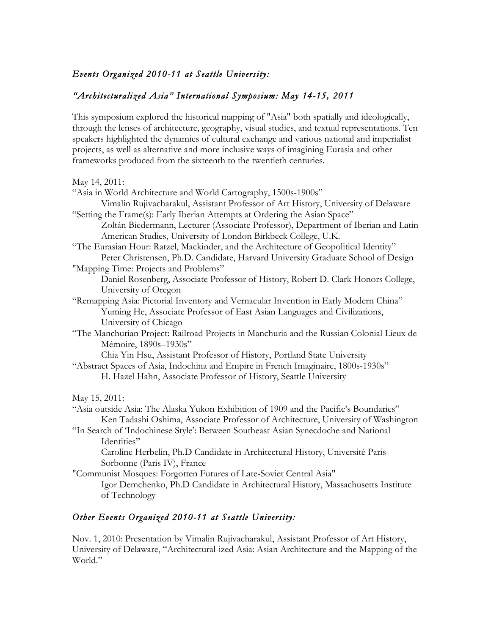## *Events Organized 2010-11 at Seattle University:*

## *"Architecturalized Asia" International Symposium: May 14-15, 2011*

This symposium explored the historical mapping of "Asia" both spatially and ideologically, through the lenses of architecture, geography, visual studies, and textual representations. Ten speakers highlighted the dynamics of cultural exchange and various national and imperialist projects, as well as alternative and more inclusive ways of imagining Eurasia and other frameworks produced from the sixteenth to the twentieth centuries.

| May 14, 2011:                                                                             |
|-------------------------------------------------------------------------------------------|
| "Asia in World Architecture and World Cartography, 1500s-1900s"                           |
| Vimalin Rujivacharakul, Assistant Professor of Art History, University of Delaware        |
| "Setting the Frame(s): Early Iberian Attempts at Ordering the Asian Space"                |
| Zoltán Biedermann, Lecturer (Associate Professor), Department of Iberian and Latin        |
| American Studies, University of London Birkbeck College, U.K.                             |
| "The Eurasian Hour: Ratzel, Mackinder, and the Architecture of Geopolitical Identity"     |
| Peter Christensen, Ph.D. Candidate, Harvard University Graduate School of Design          |
| "Mapping Time: Projects and Problems"                                                     |
| Daniel Rosenberg, Associate Professor of History, Robert D. Clark Honors College,         |
| University of Oregon                                                                      |
| "Remapping Asia: Pictorial Inventory and Vernacular Invention in Early Modern China"      |
| Yuming He, Associate Professor of East Asian Languages and Civilizations,                 |
| University of Chicago                                                                     |
| "The Manchurian Project: Railroad Projects in Manchuria and the Russian Colonial Lieux de |
| Mémoire, 1890s-1930s"                                                                     |
| Chia Yin Hsu, Assistant Professor of History, Portland State University                   |
| "Abstract Spaces of Asia, Indochina and Empire in French Imaginaire, 1800s-1930s"         |
| H. Hazel Hahn, Associate Professor of History, Seattle University                         |
| May 15, 2011:                                                                             |
| "Asia outside Asia: The Alaska Yukon Exhibition of 1909 and the Pacific's Boundaries"     |
| Ken Tadashi Oshima, Associate Professor of Architecture, University of Washington         |
| "In Search of 'Indochinese Style': Between Southeast Asian Synecdoche and National        |
| Identities"                                                                               |
| Caroline Herbelin, Ph.D Candidate in Architectural History, Université Paris-             |
| Sorbonne (Paris IV), France                                                               |
| "Communist Mosques: Forgotten Futures of Late-Soviet Central Asia"                        |
| Igor Demchenko, Ph.D Candidate in Architectural History, Massachusetts Institute          |
| of Technology                                                                             |

## *Other Events Organized 2010-11 at Seattle University:*

Nov. 1, 2010: Presentation by Vimalin Rujivacharakul, Assistant Professor of Art History, University of Delaware, "Architectural-ized Asia: Asian Architecture and the Mapping of the World."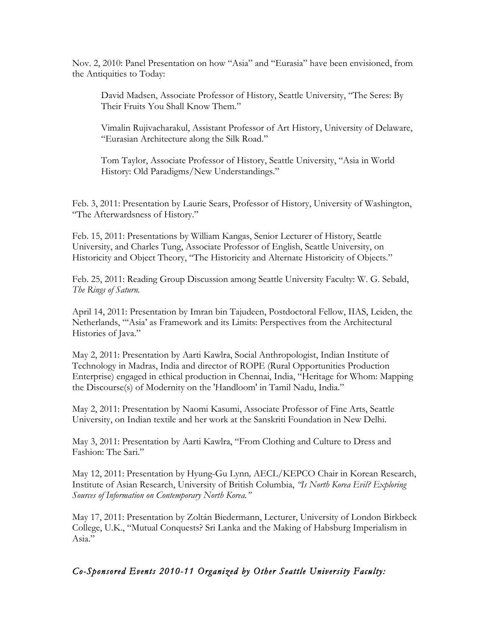Nov. 2, 2010: Panel Presentation on how "Asia" and "Eurasia" have been envisioned, from the Antiquities to Today:

David Madsen, Associate Professor of History, Seattle University, "The Seres: By Their Fruits You Shall Know Them."

Vimalin Rujivacharakul, Assistant Professor of Art History, University of Delaware, "Eurasian Architecture along the Silk Road."

Tom Taylor, Associate Professor of History, Seattle University, "Asia in World History: Old Paradigms/New Understandings."

Feb. 3, 2011: Presentation by Laurie Sears, Professor of History, University of Washington, "The Afterwardsness of History."

Feb. 15, 2011: Presentations by William Kangas, Senior Lecturer of History, Seattle University, and Charles Tung, Associate Professor of English, Seattle University, on Historicity and Object Theory, "The Historicity and Alternate Historicity of Objects."

Feb. 25, 2011: Reading Group Discussion among Seattle University Faculty: W. G. Sebald, *The Rings of Saturn.*

April 14, 2011: Presentation by Imran bin Tajudeen, Postdoctoral Fellow, IIAS, Leiden, the Netherlands, "'Asia' as Framework and its Limits: Perspectives from the Architectural Histories of Java."

May 2, 2011: Presentation by Aarti Kawlra, Social Anthropologist, Indian Institute of Technology in Madras, India and director of ROPE (Rural Opportunities Production Enterprise) engaged in ethical production in Chennai, India, "Heritage for Whom: Mapping the Discourse(s) of Modernity on the 'Handloom' in Tamil Nadu, India."

May 2, 2011: Presentation by Naomi Kasumi, Associate Professor of Fine Arts, Seattle University, on Indian textile and her work at the Sanskriti Foundation in New Delhi.

May 3, 2011: Presentation by Aarti Kawlra, "From Clothing and Culture to Dress and Fashion: The Sari."

May 12, 2011: Presentation by Hyung-Gu Lynn*,* AECL/KEPCO Chair in Korean Research, Institute of Asian Research, University of British Columbia, *"Is North Korea Evil? Exploring Sources of Information on Contemporary North Korea."*

May 17, 2011: Presentation by Zoltán Biedermann, Lecturer, University of London Birkbeck College, U.K., "Mutual Conquests? Sri Lanka and the Making of Habsburg Imperialism in Asia."

## *Co-Sponsored Events 2010-11 Organized by Other Seattle University Faculty:*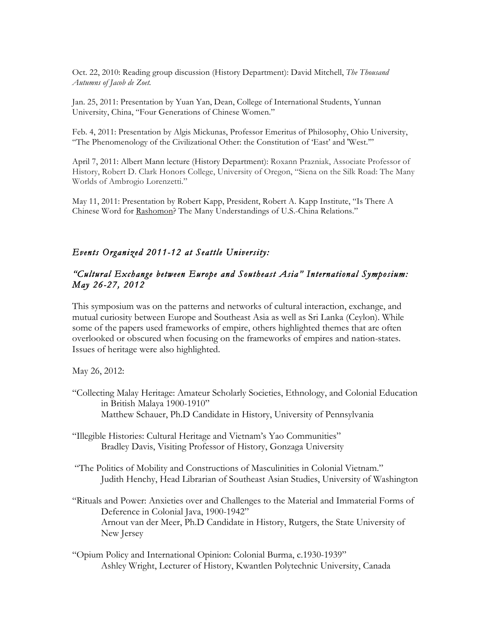Oct. 22, 2010: Reading group discussion (History Department): David Mitchell, *The Thousand Autumns of Jacob de Zoet.*

Jan. 25, 2011: Presentation by Yuan Yan, Dean, College of International Students, Yunnan University, China, "Four Generations of Chinese Women."

Feb. 4, 2011: Presentation by Algis Mickunas, Professor Emeritus of Philosophy, Ohio University, "The Phenomenology of the Civilizational Other: the Constitution of 'East' and 'West.'"

April 7, 2011: Albert Mann lecture (History Department): Roxann Prazniak, Associate Professor of History, Robert D. Clark Honors College, University of Oregon, "Siena on the Silk Road: The Many Worlds of Ambrogio Lorenzetti."

May 11, 2011: Presentation by Robert Kapp, President, Robert A. Kapp Institute, "Is There A Chinese Word for Rashomon? The Many Understandings of U.S.-China Relations."

#### *Events Organized 2011-12 at Seattle University:*

#### *"Cultural Exchange between Europe and Southeast Asia" International Symposium: May 26-27, 2012*

This symposium was on the patterns and networks of cultural interaction, exchange, and mutual curiosity between Europe and Southeast Asia as well as Sri Lanka (Ceylon). While some of the papers used frameworks of empire, others highlighted themes that are often overlooked or obscured when focusing on the frameworks of empires and nation-states. Issues of heritage were also highlighted.

May 26, 2012:

- "Collecting Malay Heritage: Amateur Scholarly Societies, Ethnology, and Colonial Education in British Malaya 1900-1910" Matthew Schauer, Ph.D Candidate in History, University of Pennsylvania
- "Illegible Histories: Cultural Heritage and Vietnam's Yao Communities" Bradley Davis, Visiting Professor of History, Gonzaga University
- "The Politics of Mobility and Constructions of Masculinities in Colonial Vietnam." Judith Henchy, Head Librarian of Southeast Asian Studies, University of Washington
- "Rituals and Power: Anxieties over and Challenges to the Material and Immaterial Forms of Deference in Colonial Java, 1900-1942" Arnout van der Meer, Ph.D Candidate in History, Rutgers, the State University of New Jersey
- "Opium Policy and International Opinion: Colonial Burma, c.1930-1939" Ashley Wright, Lecturer of History, Kwantlen Polytechnic University, Canada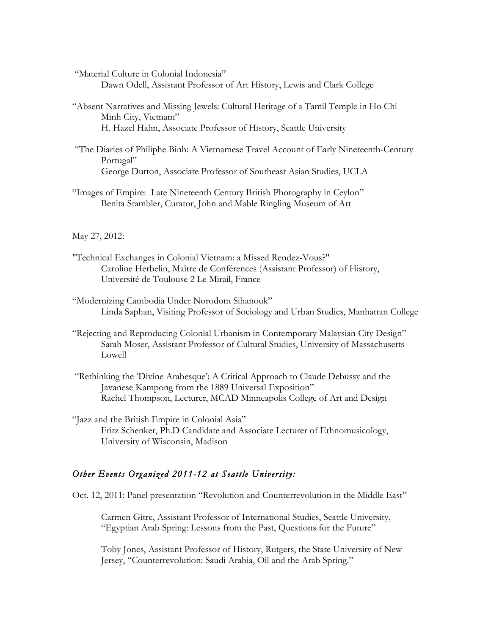"Material Culture in Colonial Indonesia"

Dawn Odell, Assistant Professor of Art History, Lewis and Clark College

- "Absent Narratives and Missing Jewels: Cultural Heritage of a Tamil Temple in Ho Chi Minh City, Vietnam" H. Hazel Hahn, Associate Professor of History, Seattle University
- "The Diaries of Philiphe Binh: A Vietnamese Travel Account of Early Nineteenth-Century Portugal" George Dutton, Associate Professor of Southeast Asian Studies, UCLA
- "Images of Empire: Late Nineteenth Century British Photography in Ceylon" Benita Stambler, Curator, John and Mable Ringling Museum of Art

#### May 27, 2012:

- "Technical Exchanges in Colonial Vietnam: a Missed Rendez-Vous?" Caroline Herbelin, Maître de Conférences (Assistant Professor) of History, Université de Toulouse 2 Le Mirail, France
- "Modernizing Cambodia Under Norodom Sihanouk" Linda Saphan, Visiting Professor of Sociology and Urban Studies, Manhattan College
- "Rejecting and Reproducing Colonial Urbanism in Contemporary Malaysian City Design" Sarah Moser, Assistant Professor of Cultural Studies, University of Massachusetts Lowell
- "Rethinking the 'Divine Arabesque': A Critical Approach to Claude Debussy and the Javanese Kampong from the 1889 Universal Exposition" Rachel Thompson, Lecturer, MCAD Minneapolis College of Art and Design

"Jazz and the British Empire in Colonial Asia" Fritz Schenker, Ph.D Candidate and Associate Lecturer of Ethnomusicology, University of Wisconsin, Madison

#### *Other Events Organized 2011-12 at Seattle University:*

Oct. 12, 2011: Panel presentation "Revolution and Counterrevolution in the Middle East"

Carmen Gitre, Assistant Professor of International Studies, Seattle University, "Egyptian Arab Spring: Lessons from the Past, Questions for the Future"

Toby Jones, Assistant Professor of History, Rutgers, the State University of New Jersey, "Counterrevolution: Saudi Arabia, Oil and the Arab Spring."